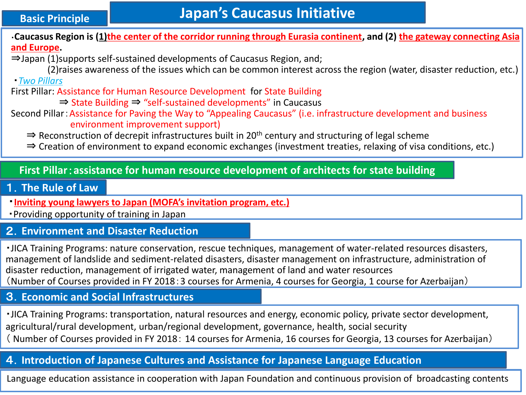#### **Basic Principle**

・**Caucasus Region is (1)the center of the corridor running through Eurasia continent, and (2) the gateway connecting Asia and Europe.**

⇒Japan (1)supports self-sustained developments of Caucasus Region, and;

 (2)raises awareness of the issues which can be common interest across the region (water, disaster reduction, etc.) ・*Two Pillars*

First Pillar: Assistance for Human Resource Development for State Building

- ⇒ State Building ⇒ "self-sustained developments" in Caucasus
- Second Pillar:Assistance for Paving the Way to "Appealing Caucasus" (i.e. infrastructure development and business environment improvement support)

⇒ Reconstruction of decrepit infrastructures built in 20<sup>th</sup> century and structuring of legal scheme

⇒ Creation of environment to expand economic exchanges (investment treaties, relaxing of visa conditions, etc.)

#### **First Pillar**:**assistance for human resource development of architects for state building**

#### 1.**The Rule of Law**

・**Inviting young lawyers to Japan (MOFA's invitation program, etc.)**

・Providing opportunity of training in Japan

# 2.**Environment and Disaster Reduction**

・JICA Training Programs: nature conservation, rescue techniques, management of water-related resources disasters, management of landslide and sediment-related disasters, disaster management on infrastructure, administration of disaster reduction, management of irrigated water, management of land and water resources (Number of Courses provided in FY 2018:3 courses for Armenia, 4 courses for Georgia, 1 course for Azerbaijan)

# 3.**Economic and Social Infrastructures**

・JICA Training Programs: transportation, natural resources and energy, economic policy, private sector development, agricultural/rural development, urban/regional development, governance, health, social security ( Number of Courses provided in FY 2018: 14 courses for Armenia, 16 courses for Georgia, 13 courses for Azerbaijan)

# 4.**Introduction of Japanese Cultures and Assistance for Japanese Language Education**

Language education assistance in cooperation with Japan Foundation and continuous provision of broadcasting contents